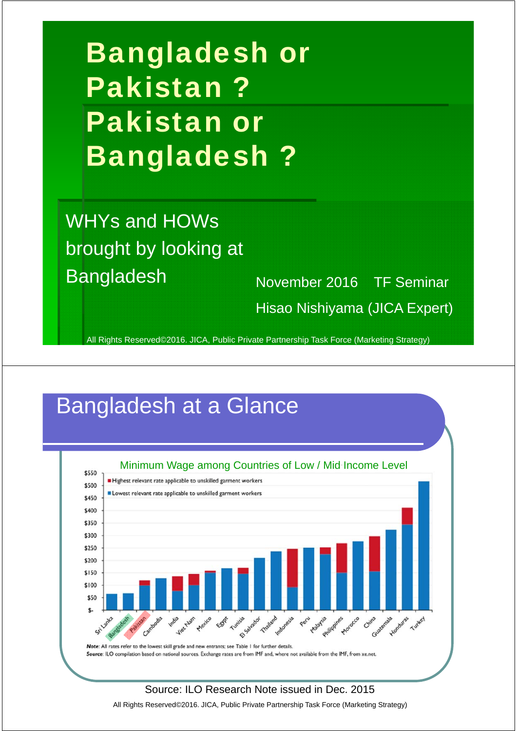Bangladesh or Pakistan ? Pakistan or Bangladesh ?

WHYs and HOWs brought by looking at Bangladesh November 2016 TF Seminar

Hisao Nishiyama (JICA Expert)

All Rights Reserved©2016. JICA, Public Private Partnership Task Force (Marketing Strategy)

### Bangladesh at a Glance



All Rights Reserved©2016. JICA, Public Private Partnership Task Force (Marketing Strategy)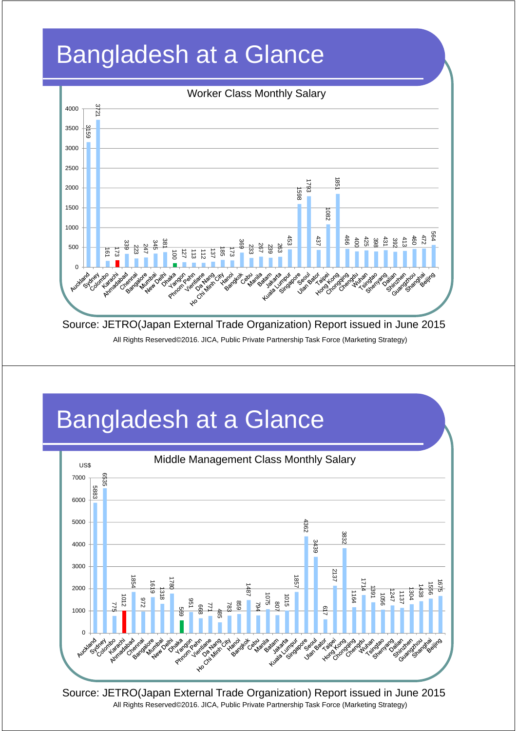# Bangladesh at a Glance



All Rights Reserved©2016. JICA, Public Private Partnership Task Force (Marketing Strategy)

### Bangladesh at a Glance



Source: JETRO(Japan External Trade Organization) Report issued in June 2015 All Rights Reserved©2016. JICA, Public Private Partnership Task Force (Marketing Strategy)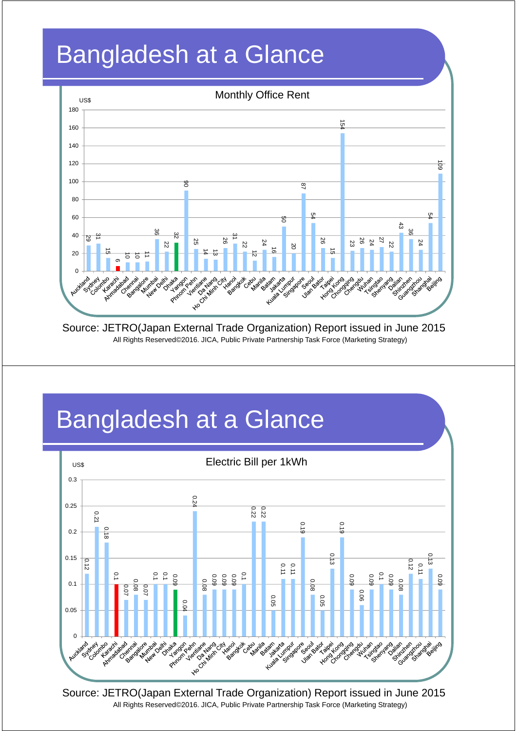# Bangladesh at a Glance



Source: JETRO(Japan External Trade Organization) Report issued in June 2015 All Rights Reserved©2016. JICA, Public Private Partnership Task Force (Marketing Strategy)

### Bangladesh at a Glance



Source: JETRO(Japan External Trade Organization) Report issued in June 2015 All Rights Reserved©2016. JICA, Public Private Partnership Task Force (Marketing Strategy)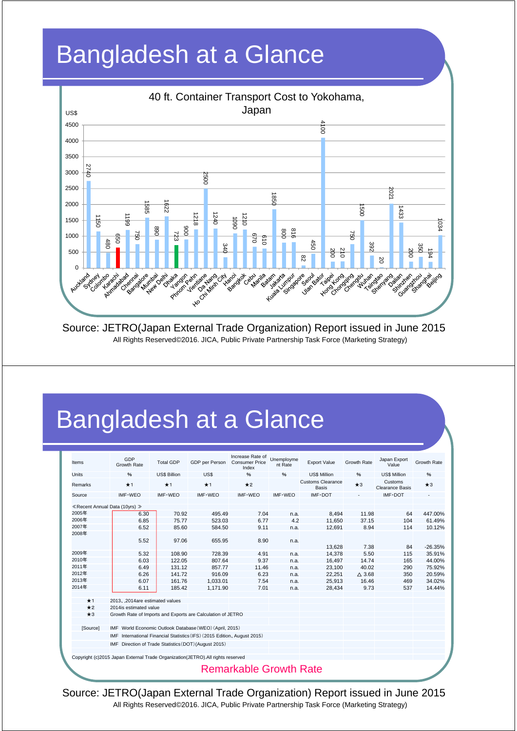

Source: JETRO(Japan External Trade Organization) Report issued in June 2015 All Rights Reserved©2016. JICA, Public Private Partnership Task Force (Marketing Strategy)

### Bangladesh at a Glance

| Items          | GDP<br>Growth Rate                                                              | <b>Total GDP</b>    | GDP per Person   | Increase Rate of<br><b>Consumer Price</b><br>Index | Unemployme<br>nt Rate | <b>Export Value</b>                      | Growth Rate      | Japan Export<br>Value      | Growth Rate      |
|----------------|---------------------------------------------------------------------------------|---------------------|------------------|----------------------------------------------------|-----------------------|------------------------------------------|------------------|----------------------------|------------------|
| <b>Units</b>   | %                                                                               | <b>US\$ Billion</b> | US\$             | $\frac{9}{6}$                                      | $\%$                  | <b>US\$ Million</b>                      | %                | <b>US\$ Million</b>        | %                |
| <b>Remarks</b> | $\star$ 1                                                                       | $*1$                | $\star$ 1        | $\star$ 2                                          |                       | <b>Customs Clearance</b><br><b>Basis</b> | $\star$ 3        | Customs<br>Clearance Basis | $\star$ 3        |
| Source         | IMF-WEO                                                                         | IMF-WEO             | IMF-WEO          | IMF-WEO                                            | IMF-WEO               | $IMF\cdot DOT$                           |                  | IMF-DOT                    |                  |
|                |                                                                                 |                     |                  |                                                    |                       |                                          |                  |                            |                  |
| 2005年          | ≪ Recent Annual Data (10yrs) »                                                  |                     |                  |                                                    |                       |                                          |                  |                            |                  |
| 2006年          | 6.30<br>6.85                                                                    | 70.92<br>75.77      | 495.49<br>523.03 | 7.04<br>6.77                                       | n.a.<br>4.2           | 8.494                                    | 11.98            | 64                         | 447.00%          |
| 2007年          | 6.52                                                                            | 85.60               |                  |                                                    |                       | 11,650                                   | 37.15<br>8.94    | 104                        | 61.49%<br>10.12% |
| 2008年          |                                                                                 |                     | 584.50           | 9.11                                               | n.a.                  | 12.691                                   |                  | 114                        |                  |
|                | 5.52                                                                            | 97.06               | 655.95           | 8.90                                               | n.a.                  |                                          |                  |                            |                  |
|                |                                                                                 |                     |                  |                                                    |                       | 13.628                                   | 7.38             | 84                         | $-26.35%$        |
| 2009年          | 5.32                                                                            | 108.90              | 728.39           | 4.91                                               | n.a.                  | 14.378                                   | 5.50             | 115                        | 35.91%           |
| 2010年          | 6.03                                                                            | 122.05              | 807.64           | 9.37                                               | n.a.                  | 16,497                                   | 14.74            | 165                        | 44.00%           |
| 2011年          | 6.49                                                                            | 131.12              | 857.77           | 11.46                                              | n.a.                  | 23,100                                   | 40.02            | 290                        | 75.92%           |
| 2012年          | 6.26                                                                            | 141.72              | 916.09           | 6.23                                               | n.a.                  | 22.251                                   | $\triangle$ 3.68 | 350                        | 20.59%           |
| 2013年          | 6.07                                                                            | 161.76              | 1,033.01         | 7.54                                               | n.a.                  | 25,913                                   | 16.46            | 469                        | 34.02%           |
| 2014年          | 6.11                                                                            | 185.42              | 1,171.90         | 7.01                                               | n.a.                  | 28,434                                   | 9.73             | 537                        | 14.44%           |
| $\star$ 1      | 2013, 2014are estimated values                                                  |                     |                  |                                                    |                       |                                          |                  |                            |                  |
| $\star$ 2      | 2014is estimated value                                                          |                     |                  |                                                    |                       |                                          |                  |                            |                  |
| $\star$ 3      | Growth Rate of Imports and Exports are Calculation of JETRO                     |                     |                  |                                                    |                       |                                          |                  |                            |                  |
| [Source]       | IMF World Economic Outlook Database (WEO) (April, 2015)                         |                     |                  |                                                    |                       |                                          |                  |                            |                  |
|                | International Financial Statistics (IFS) (2015 Edition, August 2015)<br>IMF     |                     |                  |                                                    |                       |                                          |                  |                            |                  |
|                | IMF Direction of Trade Statistics (DOT) (August 2015)                           |                     |                  |                                                    |                       |                                          |                  |                            |                  |
|                | Copyright (c)2015 Japan External Trade Organization(JETRO). All rights reserved |                     |                  |                                                    |                       |                                          |                  |                            |                  |
|                |                                                                                 |                     |                  |                                                    |                       |                                          |                  |                            |                  |
|                |                                                                                 |                     |                  | <b>Remarkable Growth Rate</b>                      |                       |                                          |                  |                            |                  |

Source: JETRO(Japan External Trade Organization) Report issued in June 2015 All Rights Reserved©2016. JICA, Public Private Partnership Task Force (Marketing Strategy)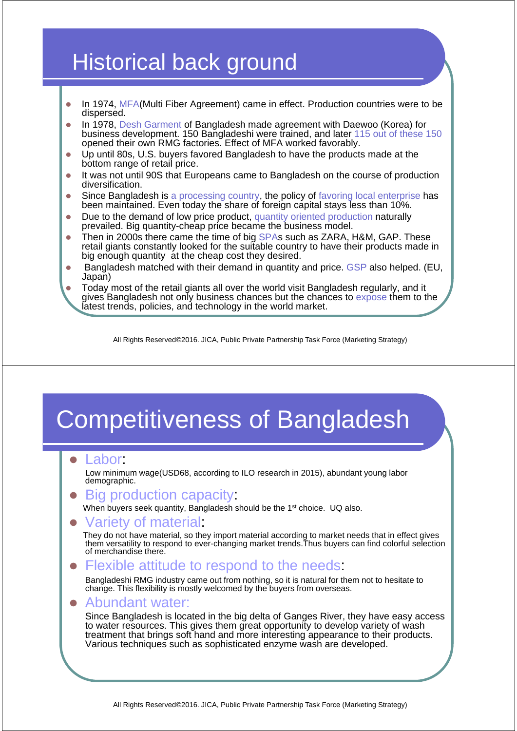### Historical back ground

- In 1974, MFA(Multi Fiber Agreement) came in effect. Production countries were to be dispersed.
- In 1978, Desh Garment of Bangladesh made agreement with Daewoo (Korea) for business development. 150 Bangladeshi were trained, and later 115 out of these 150 opened their own RMG factories. Effect of MFA worked favorably.
- Up until 80s, U.S. buyers favored Bangladesh to have the products made at the bottom range of retail price.
- It was not until 90S that Europeans came to Bangladesh on the course of production diversification.
- Since Bangladesh is a processing country, the policy of favoring local enterprise has been maintained. Even today the share of foreign capital stays less than 10%.
- Due to the demand of low price product, quantity oriented production naturally prevailed. Big quantity-cheap price became the business model.
- Then in 2000s there came the time of big SPAs such as ZARA, H&M, GAP. These retail giants constantly looked for the suitable country to have their products made in big enough quantity at the cheap cost they desired.
- **Bangladesh matched with their demand in quantity and price. GSP also helped. (EU,** Japan)
- Today most of the retail giants all over the world visit Bangladesh regularly, and it gives Bangladesh not only business chances but the chances to expose them to the latest trends, policies, and technology in the world market.

All Rights Reserved©2016. JICA, Public Private Partnership Task Force (Marketing Strategy)

### Competitiveness of Bangladesh

#### Labor:

Low minimum wage(USD68, according to ILO research in 2015), abundant young labor demographic.

#### Big production capacity:

When buyers seek quantity, Bangladesh should be the 1<sup>st</sup> choice. UQ also.

#### Variety of material:

They do not have material, so they import material according to market needs that in effect gives them versatility to respond to ever-changing market trends.Thus buyers can find colorful selection of merchandise there.

#### Flexible attitude to respond to the needs:

Bangladeshi RMG industry came out from nothing, so it is natural for them not to hesitate to change. This flexibility is mostly welcomed by the buyers from overseas.

#### Abundant water:

Since Bangladesh is located in the big delta of Ganges River, they have easy access to water resources. This gives them great opportunity to develop variety of wash treatment that brings soft hand and more interesting appearance to their products. Various techniques such as sophisticated enzyme wash are developed.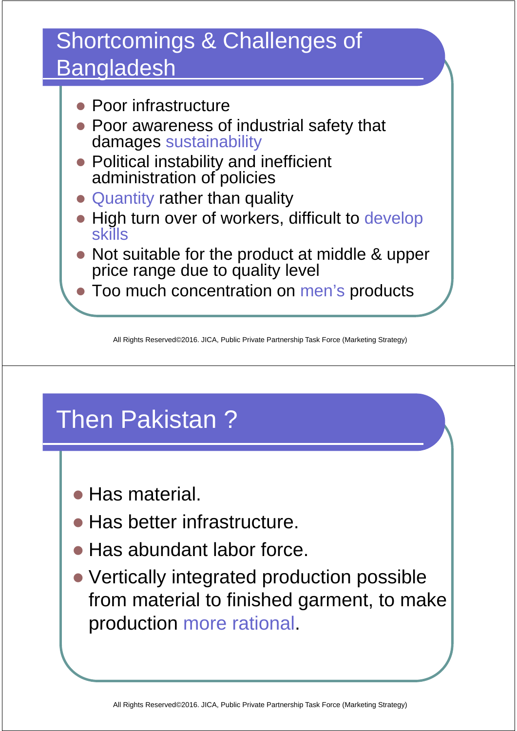### Shortcomings & Challenges of **Bangladesh**

- Poor infrastructure
- Poor awareness of industrial safety that damages sustainability
- Political instability and inefficient administration of policies
- Quantity rather than quality
- High turn over of workers, difficult to develop skills
- Not suitable for the product at middle & upper price range due to quality level
- Too much concentration on men's products

All Rights Reserved©2016. JICA, Public Private Partnership Task Force (Marketing Strategy)

# Then Pakistan ?

- Has material.
- **Has better infrastructure.**
- Has abundant labor force.
- Vertically integrated production possible from material to finished garment, to make production more rational.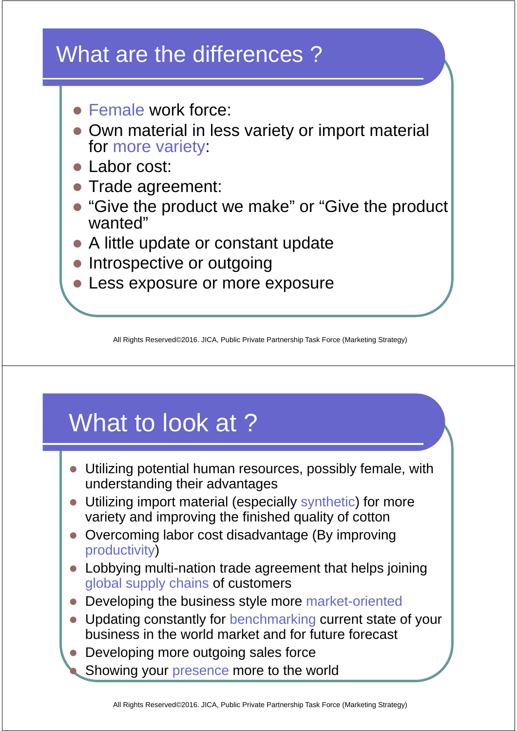### What are the differences ?

- **Female work force:**
- Own material in less variety or import material for more variety:
- Labor cost:
- Trade agreement:
- "Give the product we make" or "Give the product wanted"
- A little update or constant update
- Introspective or outgoing
- **Less exposure or more exposure**

All Rights Reserved©2016. JICA, Public Private Partnership Task Force (Marketing Strategy)

# What to look at ?

- Utilizing potential human resources, possibly female, with understanding their advantages
- Utilizing import material (especially synthetic) for more variety and improving the finished quality of cotton
- Overcoming labor cost disadvantage (By improving productivity)
- Lobbying multi-nation trade agreement that helps joining global supply chains of customers
- Developing the business style more market-oriented
- Updating constantly for benchmarking current state of your business in the world market and for future forecast
- Developing more outgoing sales force Showing your presence more to the world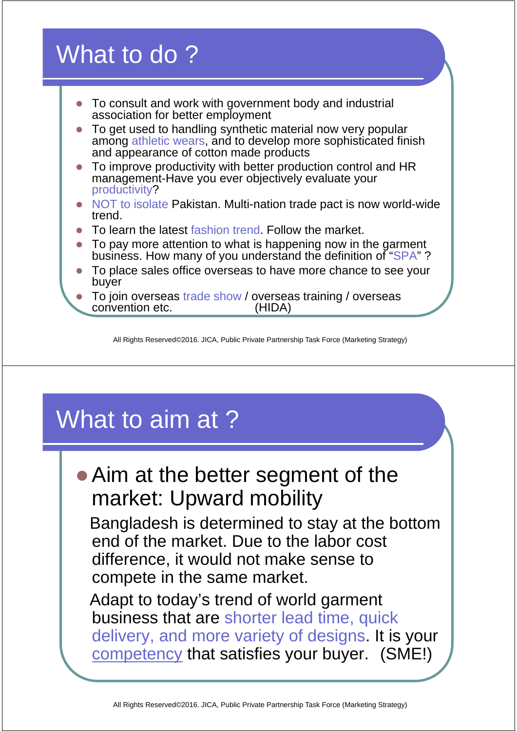### What to do ?

- To consult and work with government body and industrial association for better employment
- To get used to handling synthetic material now very popular among athletic wears, and to develop more sophisticated finish and appearance of cotton made products
- To improve productivity with better production control and HR management-Have you ever objectively evaluate your productivity?
- NOT to isolate Pakistan. Multi-nation trade pact is now world-wide trend.
- To learn the latest fashion trend. Follow the market.
- To pay more attention to what is happening now in the garment business. How many of you understand the definition of "SPA"?
- To place sales office overseas to have more chance to see your buyer
- To join overseas trade show / overseas training / overseas convention etc. (HIDA)

All Rights Reserved©2016. JICA, Public Private Partnership Task Force (Marketing Strategy)

### What to aim at ?

• Aim at the better segment of the market: Upward mobility

Bangladesh is determined to stay at the bottom end of the market. Due to the labor cost difference, it would not make sense to compete in the same market.

Adapt to today's trend of world garment business that are shorter lead time, quick delivery, and more variety of designs. It is your competency that satisfies your buyer. (SME!)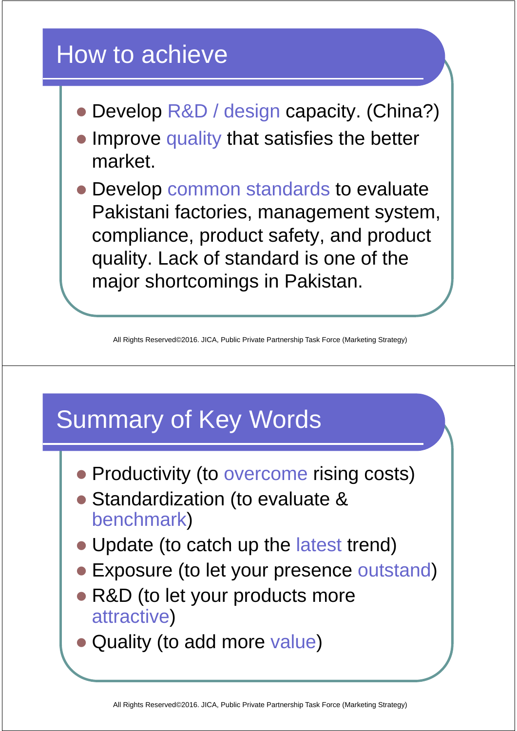### How to achieve

- Develop R&D / design capacity. (China?)
- Improve quality that satisfies the better market.
- Develop common standards to evaluate Pakistani factories, management system, compliance, product safety, and product quality. Lack of standard is one of the major shortcomings in Pakistan.

All Rights Reserved©2016. JICA, Public Private Partnership Task Force (Marketing Strategy)

### Summary of Key Words

- Productivity (to overcome rising costs)
- Standardization (to evaluate & benchmark)
- Update (to catch up the latest trend)
- Exposure (to let your presence outstand)
- R&D (to let your products more attractive)
- Quality (to add more value)